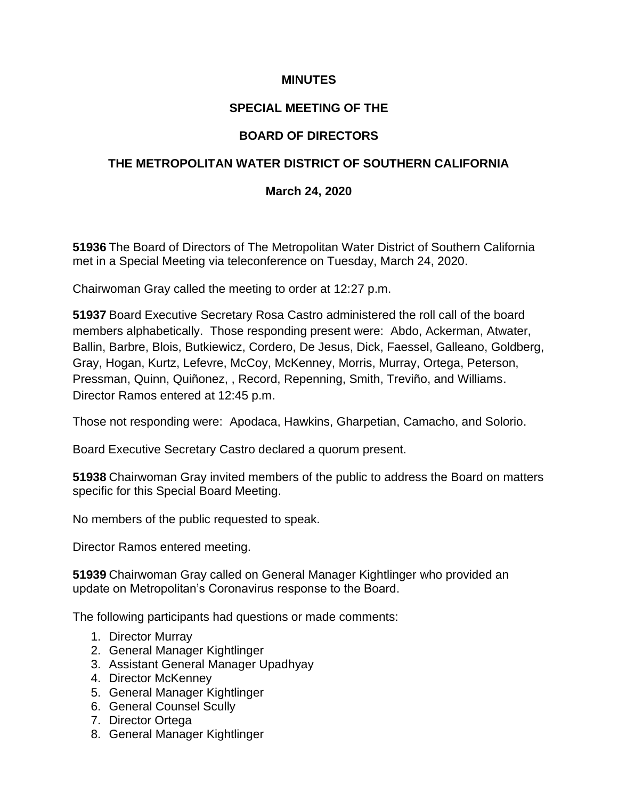#### **MINUTES**

## **SPECIAL MEETING OF THE**

# **BOARD OF DIRECTORS**

## **THE METROPOLITAN WATER DISTRICT OF SOUTHERN CALIFORNIA**

### **March 24, 2020**

**51936** The Board of Directors of The Metropolitan Water District of Southern California met in a Special Meeting via teleconference on Tuesday, March 24, 2020.

Chairwoman Gray called the meeting to order at 12:27 p.m.

**51937** Board Executive Secretary Rosa Castro administered the roll call of the board members alphabetically. Those responding present were: Abdo, Ackerman, Atwater, Ballin, Barbre, Blois, Butkiewicz, Cordero, De Jesus, Dick, Faessel, Galleano, Goldberg, Gray, Hogan, Kurtz, Lefevre, McCoy, McKenney, Morris, Murray, Ortega, Peterson, Pressman, Quinn, Quiñonez, , Record, Repenning, Smith, Treviño, and Williams. Director Ramos entered at 12:45 p.m.

Those not responding were: Apodaca, Hawkins, Gharpetian, Camacho, and Solorio.

Board Executive Secretary Castro declared a quorum present.

**51938** Chairwoman Gray invited members of the public to address the Board on matters specific for this Special Board Meeting.

No members of the public requested to speak.

Director Ramos entered meeting.

**51939** Chairwoman Gray called on General Manager Kightlinger who provided an update on Metropolitan's Coronavirus response to the Board.

The following participants had questions or made comments:

- 1. Director Murray
- 2. General Manager Kightlinger
- 3. Assistant General Manager Upadhyay
- 4. Director McKenney
- 5. General Manager Kightlinger
- 6. General Counsel Scully
- 7. Director Ortega
- 8. General Manager Kightlinger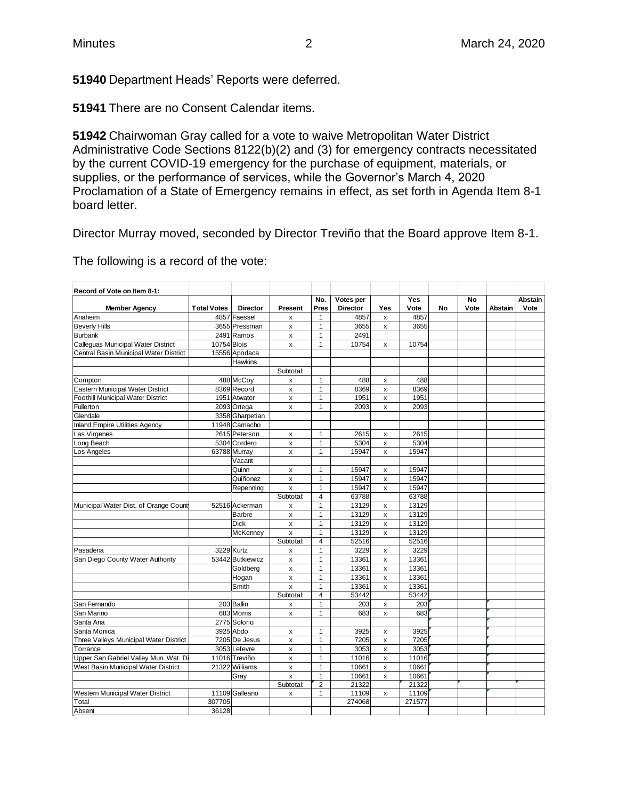**51940** Department Heads' Reports were deferred.

**51941** There are no Consent Calendar items.

**51942** Chairwoman Gray called for a vote to waive Metropolitan Water District Administrative Code Sections 8122(b)(2) and (3) for emergency contracts necessitated by the current COVID-19 emergency for the purchase of equipment, materials, or supplies, or the performance of services, while the Governor's March 4, 2020 Proclamation of a State of Emergency remains in effect, as set forth in Agenda Item 8-1 board letter.

Director Murray moved, seconded by Director Treviño that the Board approve Item 8-1.

The following is a record of the vote:

| Record of Vote on Item 8-1:               |                    |                  |                    |                              |                 |                           |                |    |      |         |                |
|-------------------------------------------|--------------------|------------------|--------------------|------------------------------|-----------------|---------------------------|----------------|----|------|---------|----------------|
|                                           |                    |                  |                    | No.                          | Votes per       |                           | <b>Yes</b>     |    | No   |         | <b>Abstain</b> |
| <b>Member Agency</b>                      | <b>Total Votes</b> | <b>Director</b>  | Present            | Pres                         | <b>Director</b> | Yes                       | Vote           | No | Vote | Abstain | Vote           |
| Anaheim                                   |                    | 4857 Faessel     | $\pmb{\times}$     | $\mathbf{1}$                 | 4857            | $\pmb{\times}$            | 4857           |    |      |         |                |
| <b>Beverly Hills</b>                      |                    | 3655 Pressman    | X                  | 1                            | 3655            | $\boldsymbol{\mathsf{x}}$ | 3655           |    |      |         |                |
| <b>Burbank</b>                            |                    | 2491 Ramos       | $\pmb{\mathsf{x}}$ | $\mathbf{1}$                 | 2491            |                           |                |    |      |         |                |
| <b>Calleguas Municipal Water District</b> | 10754 Blois        |                  | x                  | 1                            | 10754           | x                         | 10754          |    |      |         |                |
| Central Basin Municipal Water District    |                    | 15556 Apodaca    |                    |                              |                 |                           |                |    |      |         |                |
|                                           |                    | Hawkins          |                    |                              |                 |                           |                |    |      |         |                |
|                                           |                    |                  | Subtotal:          |                              |                 |                           |                |    |      |         |                |
| Compton                                   |                    | 488 McCoy        | x                  | $\mathbf{1}$                 | 488             | x                         | 488            |    |      |         |                |
| Eastern Municipal Water District          |                    | 8369 Record      | x                  | $\mathbf{1}$                 | 8369            | $\pmb{\times}$            | 8369           |    |      |         |                |
| <b>Foothill Municipal Water District</b>  |                    | 1951 Atwater     | x                  | 1                            | 1951            | $\pmb{\times}$            | 1951           |    |      |         |                |
| Fullerton                                 |                    | 2093 Ortega      | x                  | 1                            | 2093            | $\pmb{\mathsf{x}}$        | 2093           |    |      |         |                |
| Glendale                                  |                    | 3358 Gharpetian  |                    |                              |                 |                           |                |    |      |         |                |
| <b>Inland Empire Utilities Agency</b>     |                    | 11948 Camacho    |                    |                              |                 |                           |                |    |      |         |                |
| Las Virgenes                              |                    | 2615 Peterson    | x                  | 1                            | 2615            | х                         | 2615           |    |      |         |                |
| Long Beach                                |                    | 5304 Cordero     | $\pmb{\mathsf{x}}$ | 1                            | 5304            | $\pmb{\times}$            | 5304           |    |      |         |                |
| Los Angeles                               |                    | 63788 Murray     | x                  | 1                            | 15947           | $\pmb{\times}$            | 15947          |    |      |         |                |
|                                           |                    | Vacant           |                    |                              |                 |                           |                |    |      |         |                |
|                                           |                    | Quinn            | x                  | 1                            | 15947           | x                         | 15947          |    |      |         |                |
|                                           |                    | Quiñonez         | x                  | 1                            | 15947           | $\pmb{\times}$            | 15947          |    |      |         |                |
|                                           |                    | Repenning        | x                  | 1                            | 15947           | $\pmb{\mathsf{x}}$        | 15947          |    |      |         |                |
|                                           |                    |                  | Subtotal:          | 4                            | 63788           |                           | 63788          |    |      |         |                |
| Municipal Water Dist. of Orange County    |                    | 52516 Ackerman   | x                  | 1                            | 13129           | $\boldsymbol{\mathsf{x}}$ | 13129          |    |      |         |                |
|                                           |                    | Barbre           | x                  | 1                            | 13129           | x                         | 13129          |    |      |         |                |
|                                           |                    | <b>Dick</b>      | x                  | 1                            | 13129           | x                         | 13129          |    |      |         |                |
|                                           |                    | McKenney         | $\pmb{\mathsf{x}}$ | 1                            | 13129           | $\pmb{\times}$            | 13129          |    |      |         |                |
|                                           |                    |                  | Subtotal:          | 4                            | 52516           |                           | 52516          |    |      |         |                |
| Pasadena                                  |                    | 3229 Kurtz       | x                  | $\mathbf{1}$                 | 3229            | x                         | 3229           |    |      |         |                |
| San Diego County Water Authority          |                    | 53442 Butkiewicz | x                  | $\mathbf{1}$                 | 13361           | $\mathsf{x}$              | 13361          |    |      |         |                |
|                                           |                    | Goldberg         | x                  | 1                            | 13361           | x                         | 13361          |    |      |         |                |
|                                           |                    | Hogan            | $\pmb{\mathsf{X}}$ | $\mathbf{1}$                 | 13361           | X                         | 13361          |    |      |         |                |
|                                           |                    | Smith            | $\mathsf{x}$       | $\mathbf{1}$                 | 13361           | $\pmb{\mathsf{x}}$        | 13361          |    |      |         |                |
|                                           |                    |                  | Subtotal:          | 4                            | 53442           |                           | 53442          |    |      |         |                |
| San Fernando                              |                    | 203 Ballin       | x                  | $\mathbf{1}$                 | 203             | x                         | 203            |    |      |         |                |
| San Marino                                |                    | 683 Morris       | x                  | 1                            | 683             | x                         | 683            |    |      |         |                |
| Santa Ana                                 |                    | 2775 Solorio     |                    |                              |                 |                           |                |    |      |         |                |
| Santa Monica                              |                    | 3925 Abdo        | x                  | $\mathbf{1}$                 | 3925            | $\pmb{\times}$            | 3925           |    |      |         |                |
| Three Valleys Municipal Water District    |                    | 7205 De Jesus    | x                  | 1                            | 7205            | $\mathsf{x}$              | 7205           |    |      |         |                |
| Torrance                                  |                    | 3053 Lefevre     | x                  | 1                            | 3053            | $\pmb{\times}$            | 3053           |    |      |         |                |
| Upper San Gabriel Valley Mun. Wat. Di     |                    | 11016 Treviño    |                    | 1                            | 11016           |                           | 11016          |    |      |         |                |
|                                           |                    |                  | X                  | 1                            |                 | X                         |                |    |      |         |                |
| West Basin Municipal Water District       |                    | 21322 Williams   | X                  |                              | 10661           | $\pmb{\mathsf{x}}$        | 10661          |    |      |         |                |
|                                           |                    | Gray             | x                  | 1<br>$\overline{\mathbf{c}}$ | 10661<br>21322  | x                         | 10661<br>21322 |    |      |         |                |
| Western Municipal Water District          |                    | 11109 Galleano   | Subtotal:          | 1                            | 11109           |                           | 11109          |    |      |         |                |
|                                           | 307705             |                  | x                  |                              |                 | x                         |                |    |      |         |                |
| Total                                     |                    |                  |                    |                              | 274068          |                           | 271577         |    |      |         |                |
| Absent                                    | 36128              |                  |                    |                              |                 |                           |                |    |      |         |                |